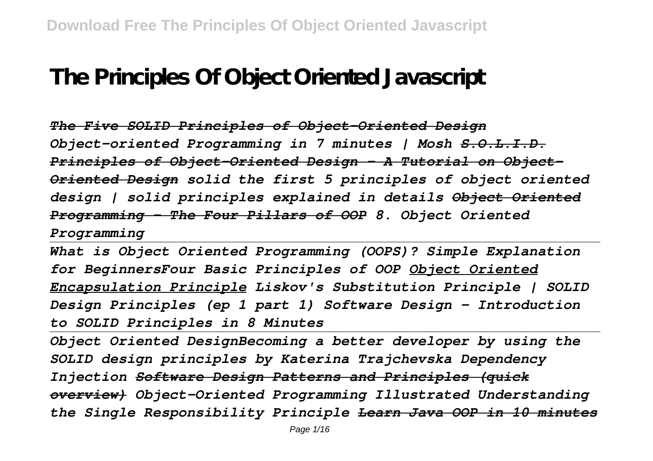## **The Principles Of Object Oriented Javascript**

*The Five SOLID Principles of Object-Oriented Design Object-oriented Programming in 7 minutes | Mosh S.O.L.I.D. Principles of Object-Oriented Design - A Tutorial on Object-Oriented Design solid the first 5 principles of object oriented design | solid principles explained in details Object Oriented Programming - The Four Pillars of OOP 8. Object Oriented Programming*

*What is Object Oriented Programming (OOPS)? Simple Explanation for BeginnersFour Basic Principles of OOP Object Oriented Encapsulation Principle Liskov's Substitution Principle | SOLID Design Principles (ep 1 part 1) Software Design - Introduction to SOLID Principles in 8 Minutes*

*Object Oriented DesignBecoming a better developer by using the SOLID design principles by Katerina Trajchevska Dependency Injection Software Design Patterns and Principles (quick overview) Object-Oriented Programming Illustrated Understanding the Single Responsibility Principle Learn Java OOP in 10 minutes*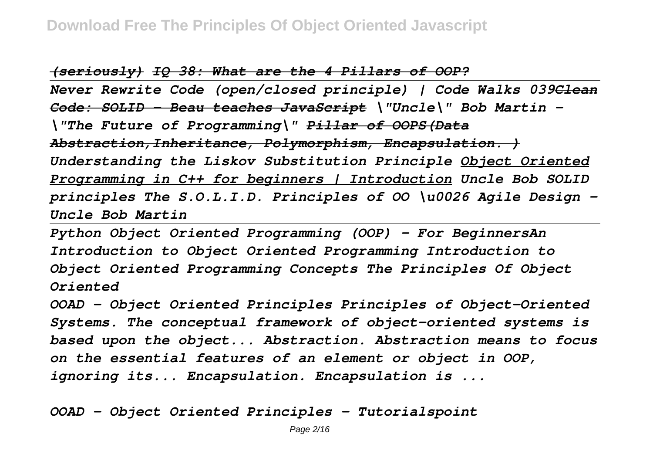*(seriously) IQ 38: What are the 4 Pillars of OOP?*

*Never Rewrite Code (open/closed principle) | Code Walks 039Clean Code: SOLID - Beau teaches JavaScript \"Uncle\" Bob Martin - \"The Future of Programming\" Pillar of OOPS(Data Abstraction,Inheritance, Polymorphism, Encapsulation. ) Understanding the Liskov Substitution Principle Object Oriented Programming in C++ for beginners | Introduction Uncle Bob SOLID principles The S.O.L.I.D. Principles of OO \u0026 Agile Design - Uncle Bob Martin*

*Python Object Oriented Programming (OOP) - For BeginnersAn Introduction to Object Oriented Programming Introduction to Object Oriented Programming Concepts The Principles Of Object Oriented*

*OOAD - Object Oriented Principles Principles of Object-Oriented Systems. The conceptual framework of object–oriented systems is based upon the object... Abstraction. Abstraction means to focus on the essential features of an element or object in OOP, ignoring its... Encapsulation. Encapsulation is ...*

*OOAD - Object Oriented Principles - Tutorialspoint*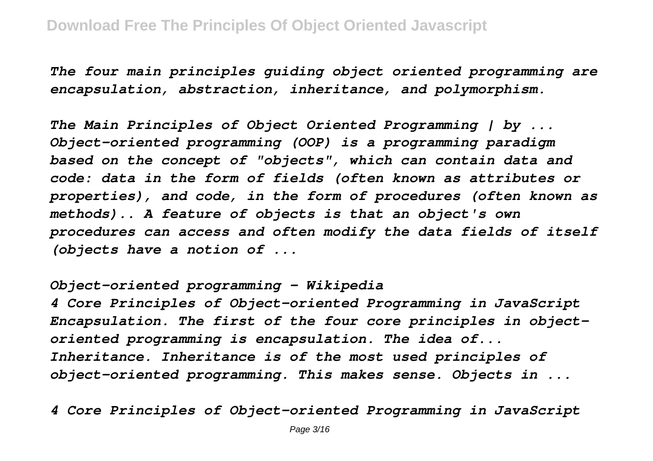*The four main principles guiding object oriented programming are encapsulation, abstraction, inheritance, and polymorphism.*

*The Main Principles of Object Oriented Programming | by ... Object-oriented programming (OOP) is a programming paradigm based on the concept of "objects", which can contain data and code: data in the form of fields (often known as attributes or properties), and code, in the form of procedures (often known as methods).. A feature of objects is that an object's own procedures can access and often modify the data fields of itself (objects have a notion of ...*

*Object-oriented programming - Wikipedia*

*4 Core Principles of Object-oriented Programming in JavaScript Encapsulation. The first of the four core principles in objectoriented programming is encapsulation. The idea of... Inheritance. Inheritance is of the most used principles of object-oriented programming. This makes sense. Objects in ...*

*4 Core Principles of Object-oriented Programming in JavaScript*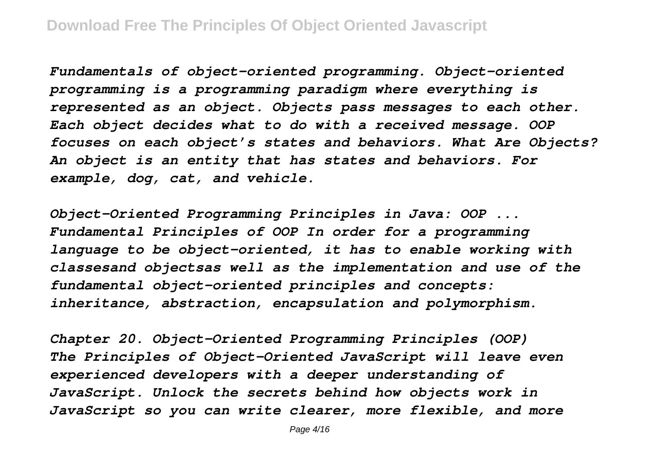*Fundamentals of object-oriented programming. Object-oriented programming is a programming paradigm where everything is represented as an object. Objects pass messages to each other. Each object decides what to do with a received message. OOP focuses on each object's states and behaviors. What Are Objects? An object is an entity that has states and behaviors. For example, dog, cat, and vehicle.*

*Object-Oriented Programming Principles in Java: OOP ... Fundamental Principles of OOP In order for a programming language to be object-oriented, it has to enable working with classesand objectsas well as the implementation and use of the fundamental object-oriented principles and concepts: inheritance, abstraction, encapsulation and polymorphism.*

*Chapter 20. Object-Oriented Programming Principles (OOP) The Principles of Object-Oriented JavaScript will leave even experienced developers with a deeper understanding of JavaScript. Unlock the secrets behind how objects work in JavaScript so you can write clearer, more flexible, and more*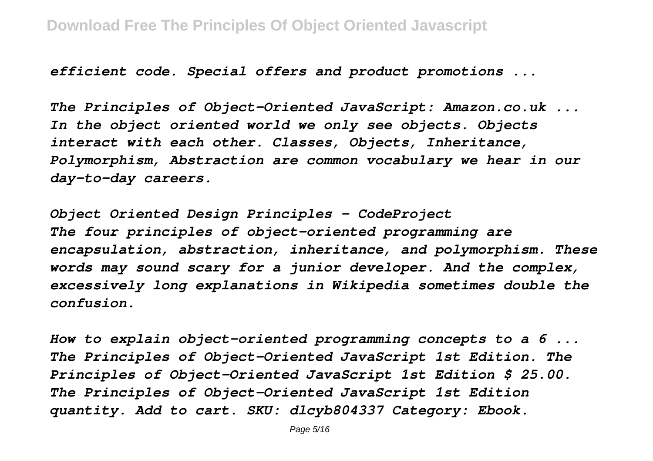*efficient code. Special offers and product promotions ...*

*The Principles of Object-Oriented JavaScript: Amazon.co.uk ... In the object oriented world we only see objects. Objects interact with each other. Classes, Objects, Inheritance, Polymorphism, Abstraction are common vocabulary we hear in our day-to-day careers.*

*Object Oriented Design Principles - CodeProject The four principles of object-oriented programming are encapsulation, abstraction, inheritance, and polymorphism. These words may sound scary for a junior developer. And the complex, excessively long explanations in Wikipedia sometimes double the confusion.*

*How to explain object-oriented programming concepts to a 6 ... The Principles of Object-Oriented JavaScript 1st Edition. The Principles of Object-Oriented JavaScript 1st Edition \$ 25.00. The Principles of Object-Oriented JavaScript 1st Edition quantity. Add to cart. SKU: dlcyb804337 Category: Ebook.*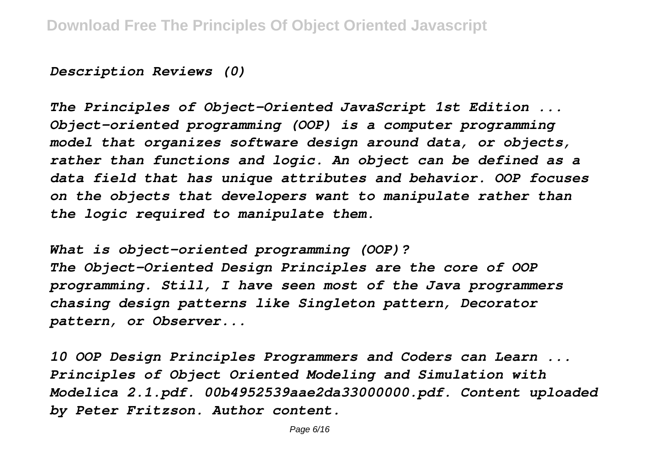*Description Reviews (0)*

*The Principles of Object-Oriented JavaScript 1st Edition ... Object-oriented programming (OOP) is a computer programming model that organizes software design around data, or objects, rather than functions and logic. An object can be defined as a data field that has unique attributes and behavior. OOP focuses on the objects that developers want to manipulate rather than the logic required to manipulate them.*

*What is object-oriented programming (OOP)? The Object-Oriented Design Principles are the core of OOP programming. Still, I have seen most of the Java programmers chasing design patterns like Singleton pattern, Decorator pattern, or Observer...*

*10 OOP Design Principles Programmers and Coders can Learn ... Principles of Object Oriented Modeling and Simulation with Modelica 2.1.pdf. 00b4952539aae2da33000000.pdf. Content uploaded by Peter Fritzson. Author content.*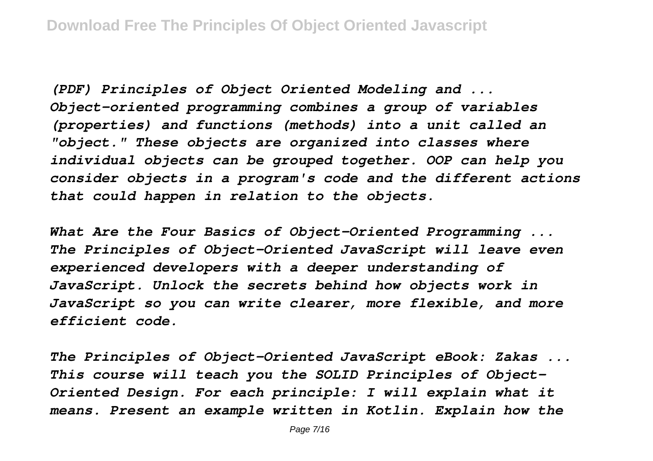*(PDF) Principles of Object Oriented Modeling and ... Object-oriented programming combines a group of variables (properties) and functions (methods) into a unit called an "object." These objects are organized into classes where individual objects can be grouped together. OOP can help you consider objects in a program's code and the different actions that could happen in relation to the objects.*

*What Are the Four Basics of Object-Oriented Programming ... The Principles of Object-Oriented JavaScript will leave even experienced developers with a deeper understanding of JavaScript. Unlock the secrets behind how objects work in JavaScript so you can write clearer, more flexible, and more efficient code.*

*The Principles of Object-Oriented JavaScript eBook: Zakas ... This course will teach you the SOLID Principles of Object-Oriented Design. For each principle: I will explain what it means. Present an example written in Kotlin. Explain how the*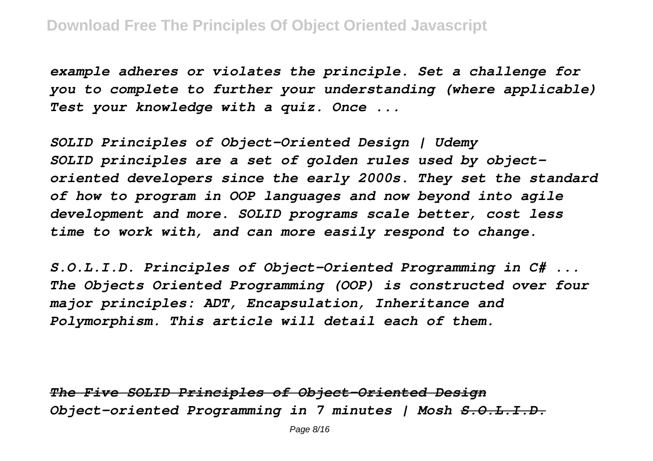*example adheres or violates the principle. Set a challenge for you to complete to further your understanding (where applicable) Test your knowledge with a quiz. Once ...*

*SOLID Principles of Object-Oriented Design | Udemy SOLID principles are a set of golden rules used by objectoriented developers since the early 2000s. They set the standard of how to program in OOP languages and now beyond into agile development and more. SOLID programs scale better, cost less time to work with, and can more easily respond to change.*

*S.O.L.I.D. Principles of Object-Oriented Programming in C# ... The Objects Oriented Programming (OOP) is constructed over four major principles: ADT, Encapsulation, Inheritance and Polymorphism. This article will detail each of them.*

*The Five SOLID Principles of Object-Oriented Design Object-oriented Programming in 7 minutes | Mosh S.O.L.I.D.*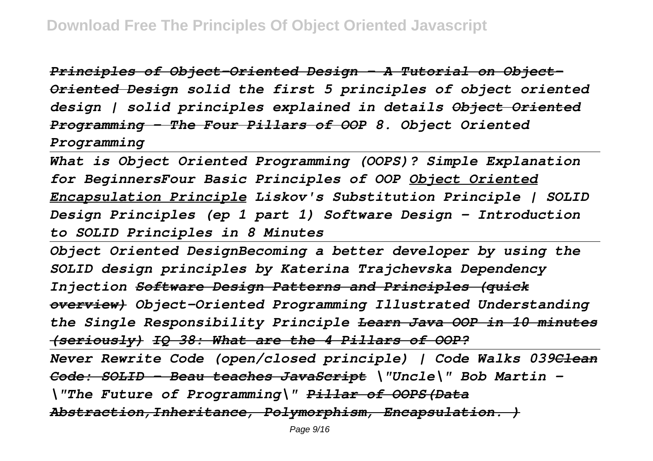*Principles of Object-Oriented Design - A Tutorial on Object-Oriented Design solid the first 5 principles of object oriented design | solid principles explained in details Object Oriented Programming - The Four Pillars of OOP 8. Object Oriented Programming*

*What is Object Oriented Programming (OOPS)? Simple Explanation for BeginnersFour Basic Principles of OOP Object Oriented Encapsulation Principle Liskov's Substitution Principle | SOLID Design Principles (ep 1 part 1) Software Design - Introduction to SOLID Principles in 8 Minutes*

*Object Oriented DesignBecoming a better developer by using the SOLID design principles by Katerina Trajchevska Dependency Injection Software Design Patterns and Principles (quick overview) Object-Oriented Programming Illustrated Understanding the Single Responsibility Principle Learn Java OOP in 10 minutes (seriously) IQ 38: What are the 4 Pillars of OOP?*

*Never Rewrite Code (open/closed principle) | Code Walks 039Clean Code: SOLID - Beau teaches JavaScript \"Uncle\" Bob Martin - \"The Future of Programming\" Pillar of OOPS(Data Abstraction,Inheritance, Polymorphism, Encapsulation. )*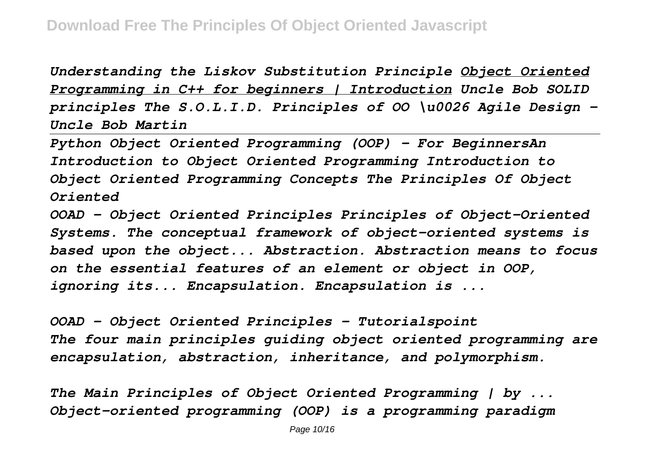*Understanding the Liskov Substitution Principle Object Oriented Programming in C++ for beginners | Introduction Uncle Bob SOLID principles The S.O.L.I.D. Principles of OO \u0026 Agile Design - Uncle Bob Martin*

*Python Object Oriented Programming (OOP) - For BeginnersAn Introduction to Object Oriented Programming Introduction to Object Oriented Programming Concepts The Principles Of Object Oriented*

*OOAD - Object Oriented Principles Principles of Object-Oriented Systems. The conceptual framework of object–oriented systems is based upon the object... Abstraction. Abstraction means to focus on the essential features of an element or object in OOP, ignoring its... Encapsulation. Encapsulation is ...*

*OOAD - Object Oriented Principles - Tutorialspoint The four main principles guiding object oriented programming are encapsulation, abstraction, inheritance, and polymorphism.*

*The Main Principles of Object Oriented Programming | by ... Object-oriented programming (OOP) is a programming paradigm*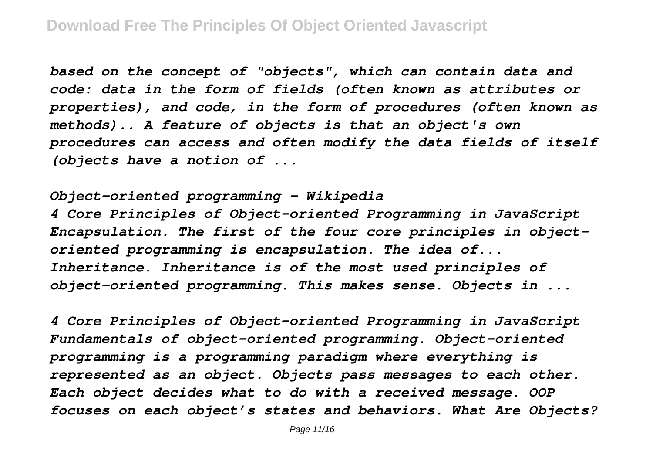*based on the concept of "objects", which can contain data and code: data in the form of fields (often known as attributes or properties), and code, in the form of procedures (often known as methods).. A feature of objects is that an object's own procedures can access and often modify the data fields of itself (objects have a notion of ...*

*Object-oriented programming - Wikipedia 4 Core Principles of Object-oriented Programming in JavaScript Encapsulation. The first of the four core principles in objectoriented programming is encapsulation. The idea of... Inheritance. Inheritance is of the most used principles of object-oriented programming. This makes sense. Objects in ...*

*4 Core Principles of Object-oriented Programming in JavaScript Fundamentals of object-oriented programming. Object-oriented programming is a programming paradigm where everything is represented as an object. Objects pass messages to each other. Each object decides what to do with a received message. OOP focuses on each object's states and behaviors. What Are Objects?*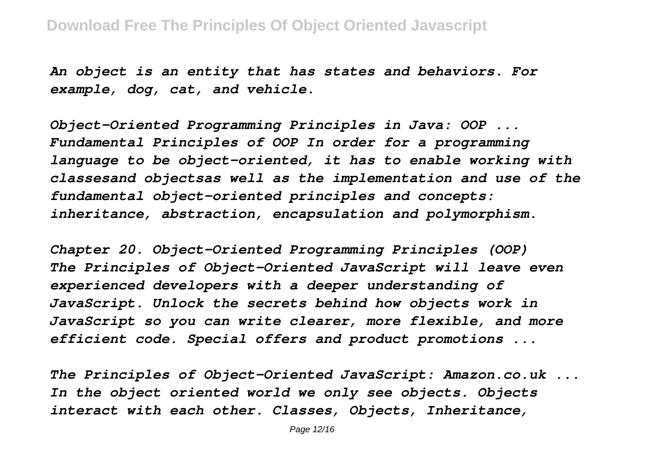*An object is an entity that has states and behaviors. For example, dog, cat, and vehicle.*

*Object-Oriented Programming Principles in Java: OOP ... Fundamental Principles of OOP In order for a programming language to be object-oriented, it has to enable working with classesand objectsas well as the implementation and use of the fundamental object-oriented principles and concepts: inheritance, abstraction, encapsulation and polymorphism.*

*Chapter 20. Object-Oriented Programming Principles (OOP) The Principles of Object-Oriented JavaScript will leave even experienced developers with a deeper understanding of JavaScript. Unlock the secrets behind how objects work in JavaScript so you can write clearer, more flexible, and more efficient code. Special offers and product promotions ...*

*The Principles of Object-Oriented JavaScript: Amazon.co.uk ... In the object oriented world we only see objects. Objects interact with each other. Classes, Objects, Inheritance,*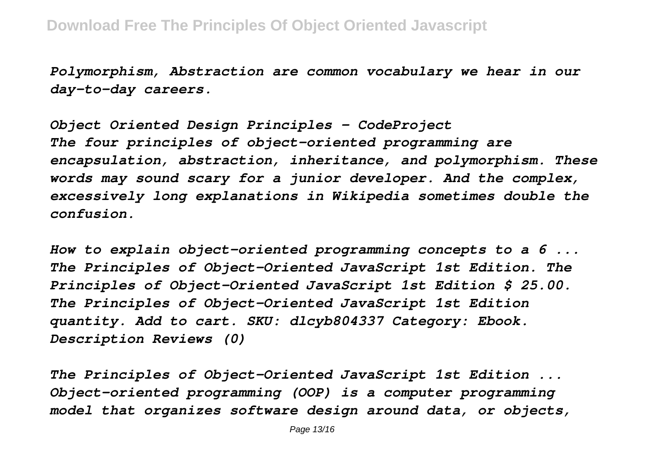*Polymorphism, Abstraction are common vocabulary we hear in our day-to-day careers.*

*Object Oriented Design Principles - CodeProject The four principles of object-oriented programming are encapsulation, abstraction, inheritance, and polymorphism. These words may sound scary for a junior developer. And the complex, excessively long explanations in Wikipedia sometimes double the confusion.*

*How to explain object-oriented programming concepts to a 6 ... The Principles of Object-Oriented JavaScript 1st Edition. The Principles of Object-Oriented JavaScript 1st Edition \$ 25.00. The Principles of Object-Oriented JavaScript 1st Edition quantity. Add to cart. SKU: dlcyb804337 Category: Ebook. Description Reviews (0)*

*The Principles of Object-Oriented JavaScript 1st Edition ... Object-oriented programming (OOP) is a computer programming model that organizes software design around data, or objects,*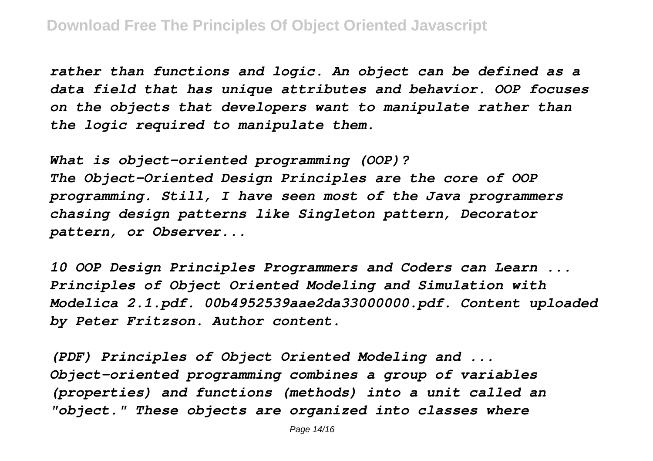*rather than functions and logic. An object can be defined as a data field that has unique attributes and behavior. OOP focuses on the objects that developers want to manipulate rather than the logic required to manipulate them.*

*What is object-oriented programming (OOP)? The Object-Oriented Design Principles are the core of OOP programming. Still, I have seen most of the Java programmers chasing design patterns like Singleton pattern, Decorator pattern, or Observer...*

*10 OOP Design Principles Programmers and Coders can Learn ... Principles of Object Oriented Modeling and Simulation with Modelica 2.1.pdf. 00b4952539aae2da33000000.pdf. Content uploaded by Peter Fritzson. Author content.*

*(PDF) Principles of Object Oriented Modeling and ... Object-oriented programming combines a group of variables (properties) and functions (methods) into a unit called an "object." These objects are organized into classes where*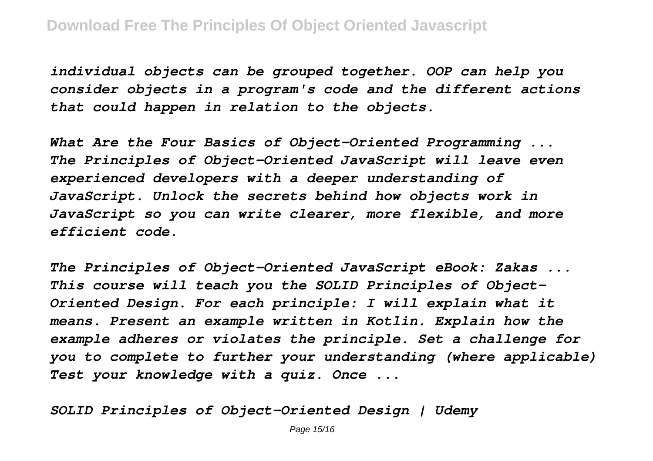*individual objects can be grouped together. OOP can help you consider objects in a program's code and the different actions that could happen in relation to the objects.*

*What Are the Four Basics of Object-Oriented Programming ... The Principles of Object-Oriented JavaScript will leave even experienced developers with a deeper understanding of JavaScript. Unlock the secrets behind how objects work in JavaScript so you can write clearer, more flexible, and more efficient code.*

*The Principles of Object-Oriented JavaScript eBook: Zakas ... This course will teach you the SOLID Principles of Object-Oriented Design. For each principle: I will explain what it means. Present an example written in Kotlin. Explain how the example adheres or violates the principle. Set a challenge for you to complete to further your understanding (where applicable) Test your knowledge with a quiz. Once ...*

*SOLID Principles of Object-Oriented Design | Udemy*

Page 15/16